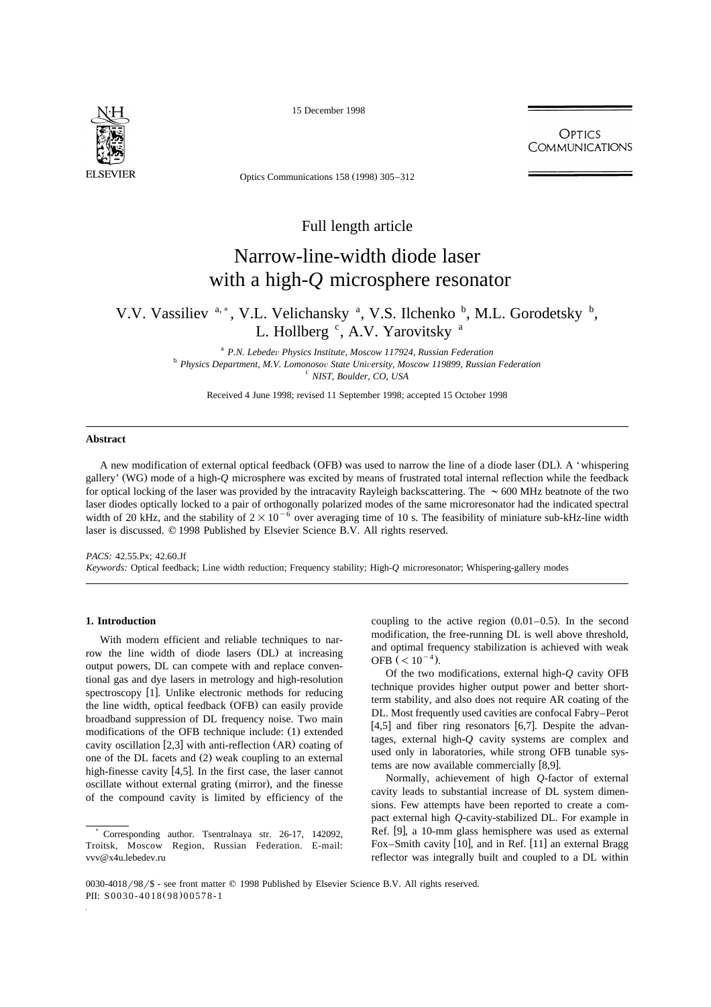

15 December 1998

**OPTICS COMMUNICATIONS** 

Optics Communications 158 (1998) 305–312

# Full length article

# Narrow-line-width diode laser with a high-*Q* microsphere resonator

V.V. Vassiliev <sup>a,\*</sup>, V.L. Velichansky <sup>a</sup>, V.S. Ilchenko <sup>b</sup>, M.L. Gorodetsky <sup>b</sup>, L. Hollberg <sup>c</sup>, A.V. Yarovitsky <sup>a</sup>

<sup>a</sup> *P.N. Lebede*<sup>Õ</sup> *Physics Institute, Moscow 117924, Russian Federation* <sup>b</sup> *Physics Department, M.V. Lomonoso*<sup>Õ</sup> *State Uni*Õ*ersity, Moscow 119899, Russian Federation* <sup>c</sup> *NIST, Boulder, CO, USA*

Received 4 June 1998; revised 11 September 1998; accepted 15 October 1998

# **Abstract**

A new modification of external optical feedback (OFB) was used to narrow the line of a diode laser (DL). A 'whispering gallery' (WG) mode of a high-*Q* microsphere was excited by means of frustrated total internal reflection while the feedback for optical locking of the laser was provided by the intracavity Rayleigh backscattering. The  $\sim 600$  MHz beatnote of the two laser diodes optically locked to a pair of orthogonally polarized modes of the same microresonator had the indicated spectral width of 20 kHz, and the stability of  $2\times10^{-6}$  over averaging time of 10 s. The feasibility of miniature sub-kHz-line width laser is discussed.  $\odot$  1998 Published by Elsevier Science B.V. All rights reserved.

*PACS:* 42.55.Px; 42.60.Jf *Keywords:* Optical feedback; Line width reduction; Frequency stability; High-*Q* microresonator; Whispering-gallery modes

# **1. Introduction**

With modern efficient and reliable techniques to narrow the line width of diode lasers (DL) at increasing output powers, DL can compete with and replace conventional gas and dye lasers in metrology and high-resolution spectroscopy [1]. Unlike electronic methods for reducing the line width, optical feedback (OFB) can easily provide broadband suppression of DL frequency noise. Two main modifications of the OFB technique include: (1) extended cavity oscillation  $[2,3]$  with anti-reflection  $(AR)$  coating of one of the DL facets and (2) weak coupling to an external high-finesse cavity  $[4,5]$ . In the first case, the laser cannot oscillate without external grating (mirror), and the finesse of the compound cavity is limited by efficiency of the coupling to the active region  $(0.01-0.5)$ . In the second modification, the free-running DL is well above threshold, and optimal frequency stabilization is achieved with weak OFB  $(< 10^{-4}$ ).

Of the two modifications, external high-*Q* cavity OFB technique provides higher output power and better shortterm stability, and also does not require AR coating of the DL. Most frequently used cavities are confocal Fabry–Perot  $[4,5]$  and fiber ring resonators  $[6,7]$ . Despite the advantages, external high-*Q* cavity systems are complex and used only in laboratories, while strong OFB tunable systems are now available commercially [8,9].

Normally, achievement of high *Q*-factor of external cavity leads to substantial increase of DL system dimensions. Few attempts have been reported to create a compact external high *Q*-cavity-stabilized DL. For example in Ref. [9], a 10-mm glass hemisphere was used as external Fox–Smith cavity  $[10]$ , and in Ref.  $[11]$  an external Bragg reflector was integrally built and coupled to a DL within

<sup>)</sup> Corresponding author. Tsentralnaya str. 26-17, 142092, Troitsk, Moscow Region, Russian Federation. E-mail: vvv@x4u.lebedev.ru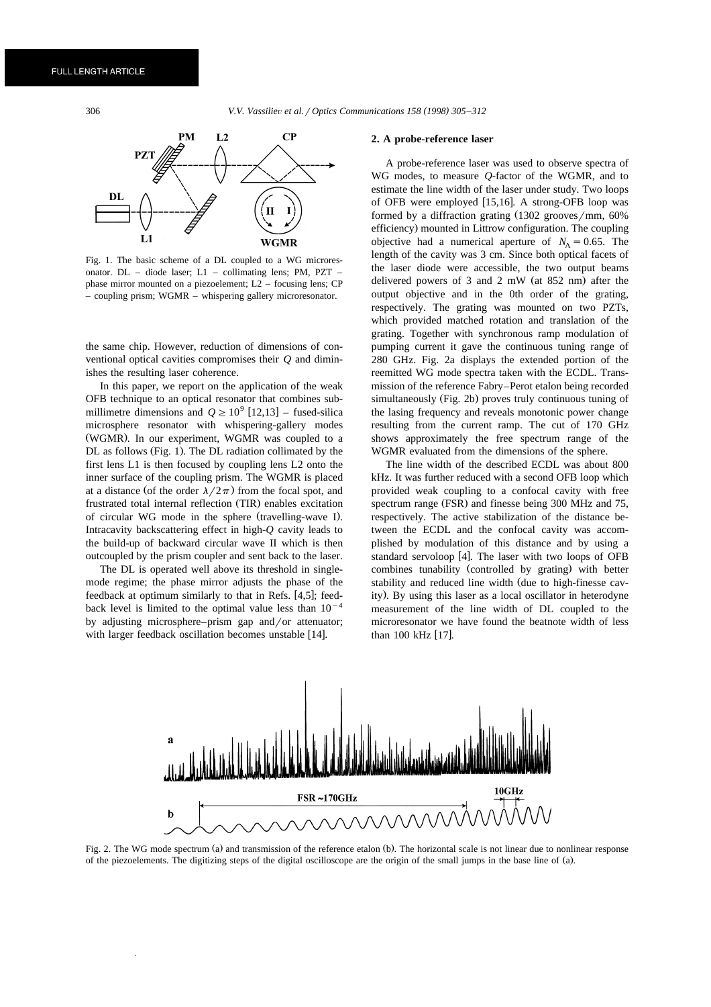306 *V.V. Vassilie*Õ *et al.*r*Optics Communications 158 1998 305–312 ( )*



Fig. 1. The basic scheme of a DL coupled to a WG microresonator. DL – diode laser; L1 – collimating lens; PM, PZT – phase mirror mounted on a piezoelement; L2 – focusing lens; CP – coupling prism; WGMR – whispering gallery microresonator.

the same chip. However, reduction of dimensions of conventional optical cavities compromises their *Q* and diminishes the resulting laser coherence.

In this paper, we report on the application of the weak OFB technique to an optical resonator that combines sub millimetre dimensions and  $Q \ge 10^9$  [12,13] – fused-silica microsphere resonator with whispering-gallery modes (WGMR). In our experiment, WGMR was coupled to a DL as follows (Fig. 1). The DL radiation collimated by the first lens L1 is then focused by coupling lens L2 onto the inner surface of the coupling prism. The WGMR is placed at a distance (of the order  $\lambda/2\pi$ ) from the focal spot, and frustrated total internal reflection (TIR) enables excitation of circular WG mode in the sphere (travelling-wave I). Intracavity backscattering effect in high-*Q* cavity leads to the build-up of backward circular wave II which is then outcoupled by the prism coupler and sent back to the laser.

The DL is operated well above its threshold in singlemode regime; the phase mirror adjusts the phase of the feedback at optimum similarly to that in Refs.  $[4,5]$ ; feedback level is limited to the optimal value less than  $10^{-4}$ by adjusting microsphere–prism gap and/or attenuator; with larger feedback oscillation becomes unstable [14].

#### **2. A probe-reference laser**

A probe-reference laser was used to observe spectra of WG modes, to measure *Q*-factor of the WGMR, and to estimate the line width of the laser under study. Two loops of OFB were employed  $[15,16]$ . A strong-OFB loop was formed by a diffraction grating  $(1302 \text{ grooves/mm}, 60\%)$ efficiency) mounted in Littrow configuration. The coupling objective had a numerical aperture of  $N_A = 0.65$ . The length of the cavity was 3 cm. Since both optical facets of the laser diode were accessible, the two output beams delivered powers of 3 and 2 mW (at  $852$  nm) after the output objective and in the 0th order of the grating, respectively. The grating was mounted on two PZTs, which provided matched rotation and translation of the grating. Together with synchronous ramp modulation of pumping current it gave the continuous tuning range of 280 GHz. Fig. 2a displays the extended portion of the reemitted WG mode spectra taken with the ECDL. Transmission of the reference Fabry–Perot etalon being recorded simultaneously (Fig. 2b) proves truly continuous tuning of the lasing frequency and reveals monotonic power change resulting from the current ramp. The cut of 170 GHz shows approximately the free spectrum range of the WGMR evaluated from the dimensions of the sphere.

The line width of the described ECDL was about 800 kHz. It was further reduced with a second OFB loop which provided weak coupling to a confocal cavity with free spectrum range (FSR) and finesse being 300 MHz and 75, respectively. The active stabilization of the distance between the ECDL and the confocal cavity was accomplished by modulation of this distance and by using a standard servoloop [4]. The laser with two loops of OFB combines tunability (controlled by grating) with better stability and reduced line width (due to high-finesse cavity). By using this laser as a local oscillator in heterodyne measurement of the line width of DL coupled to the microresonator we have found the beatnote width of less than  $100$  kHz  $[17]$ .



Fig. 2. The WG mode spectrum (a) and transmission of the reference etalon (b). The horizontal scale is not linear due to nonlinear response of the piezoelements. The digitizing steps of the digital oscilloscope are the origin of the small jumps in the base line of (a).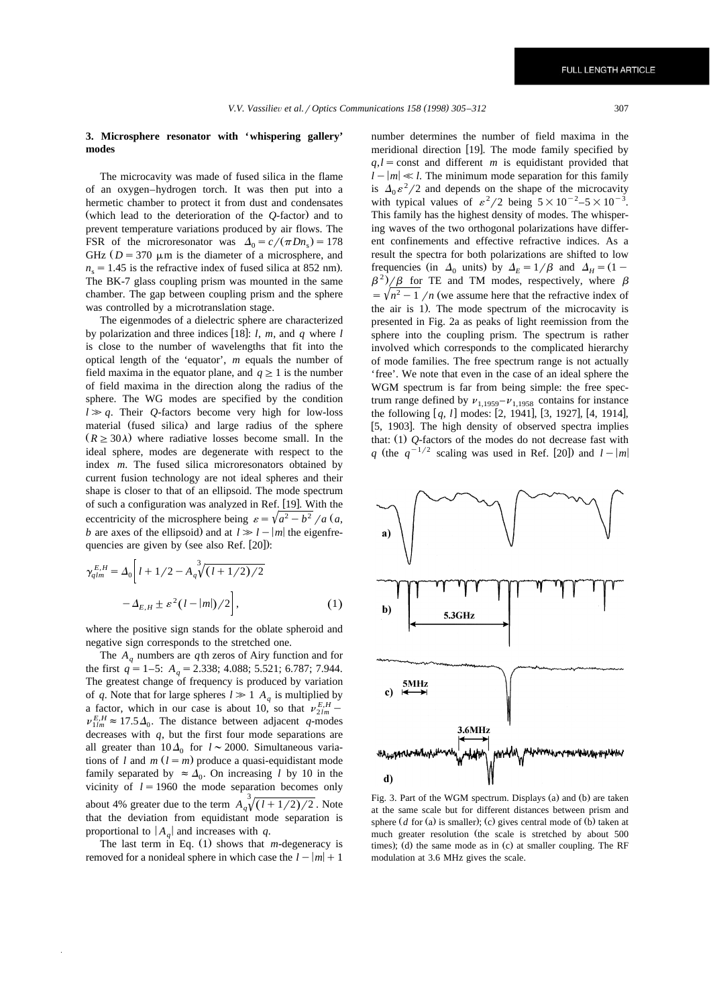# **3. Microsphere resonator with 'whispering gallery' modes**

The microcavity was made of fused silica in the flame of an oxygen–hydrogen torch. It was then put into a hermetic chamber to protect it from dust and condensates (which lead to the deterioration of the  $O$ -factor) and to prevent temperature variations produced by air flows. The FSR of the microresonator was  $\Delta_0 = c/(\pi D n_s) = 178$ GHz  $(D = 370 \mu m)$  is the diameter of a microsphere, and  $n<sub>s</sub> = 1.45$  is the refractive index of fused silica at 852 nm). The BK-7 glass coupling prism was mounted in the same chamber. The gap between coupling prism and the sphere was controlled by a microtranslation stage.

The eigenmodes of a dielectric sphere are characterized by polarization and three indices [18]:  $l$ ,  $m$ , and  $q$  where  $l$ is close to the number of wavelengths that fit into the optical length of the 'equator', *m* equals the number of field maxima in the equator plane, and  $q \geq 1$  is the number of field maxima in the direction along the radius of the sphere. The WG modes are specified by the condition  $l \gg q$ . Their *Q*-factors become very high for low-loss material (fused silica) and large radius of the sphere  $(R \geq 30\lambda)$  where radiative losses become small. In the ideal sphere, modes are degenerate with respect to the index *m*. The fused silica microresonators obtained by current fusion technology are not ideal spheres and their shape is closer to that of an ellipsoid. The mode spectrum of such a configuration was analyzed in Ref. [19]. With the eccentricity of the microsphere being  $\varepsilon = \sqrt{a^2 - b^2}/a$  (*a*, *b* are axes of the ellipsoid) and at  $l \gg l - |m|$  the eigenfrequencies are given by (see also Ref. [20]):

$$
\gamma_{qlm}^{E,H} = \Delta_0 \bigg[ l + 1/2 - A_q^3 \sqrt{(l + 1/2)/2} - \Delta_{E,H} \pm \varepsilon^2 (l - |m|)/2 \bigg],
$$
\n(1)

where the positive sign stands for the oblate spheroid and negative sign corresponds to the stretched one.

The  $A_q$  numbers are *q*th zeros of Airy function and for the first  $q = 1-5$ :  $A_q = 2.338$ ; 4.088; 5.521; 6.787; 7.944. The greatest change of frequency is produced by variation of *q*. Note that for large spheres  $l \gg 1$  *A<sub>q</sub>* is multiplied by a factor, which in our case is about 10, so that  $v_{2lm}^{E,H}$  –  $v_{1lm}^{E,H} \approx 17.5\Delta_0$ . The distance between adjacent *q*-modes decreases with *q*, but the first four mode separations are all greater than  $10\Delta_0$  for  $l \sim 2000$ . Simultaneous variations of *l* and  $m$  ( $l = m$ ) produce a quasi-equidistant mode family separated by  $\approx \Delta_0$ . On increasing *l* by 10 in the vicinity of  $l = 1960$  the mode separation becomes only about 4% greater due to the term  $A_q^3\sqrt{(l+1/2)/2}$ . Note that the deviation from equidistant mode separation is proportional to  $|A_{a}|$  and increases with *q*.

The last term in Eq.  $(1)$  shows that *m*-degeneracy is removed for a nonideal sphere in which case the  $l - |m| + 1$  number determines the number of field maxima in the meridional direction [19]. The mode family specified by  $q,l =$ const and different *m* is equidistant provided that  $l - |m| \ll l$ . The minimum mode separation for this family is  $\Delta_0 \varepsilon^2/2$  and depends on the shape of the microcavity with typical values of  $\varepsilon^2/2$  being  $5 \times 10^{-2} - 5 \times 10^{-3}$ . This family has the highest density of modes. The whispering waves of the two orthogonal polarizations have different confinements and effective refractive indices. As a result the spectra for both polarizations are shifted to low frequencies (in  $\Delta_0$  units) by  $\Delta_E = 1/\beta$  and  $\Delta_H = (1 - \beta^2)/\beta$  for TE and TM modes, respectively, where  $\beta$  $=\sqrt{n^2-1}/n$  (we assume here that the refractive index of the air is 1). The mode spectrum of the microcavity is presented in Fig. 2a as peaks of light reemission from the sphere into the coupling prism. The spectrum is rather involved which corresponds to the complicated hierarchy of mode families. The free spectrum range is not actually 'free'. We note that even in the case of an ideal sphere the WGM spectrum is far from being simple: the free spectrum range defined by  $v_{1,1959} - v_{1,1958}$  contains for instance the following [q, l] modes: [2, 1941], [3, 1927], [4, 1914], [5, 1903]. The high density of observed spectra implies that:  $(1)$   $Q$ -factors of the modes do not decrease fast with *q* (the  $q^{-1/2}$  scaling was used in Ref. [20]) and  $l - |m|$ 



Fig. 3. Part of the WGM spectrum. Displays (a) and (b) are taken at the same scale but for different distances between prism and sphere  $(d \text{ for (a) is smaller})$ ; (c) gives central mode of  $(b)$  taken at much greater resolution (the scale is stretched by about 500 times); (d) the same mode as in  $(c)$  at smaller coupling. The RF modulation at 3.6 MHz gives the scale.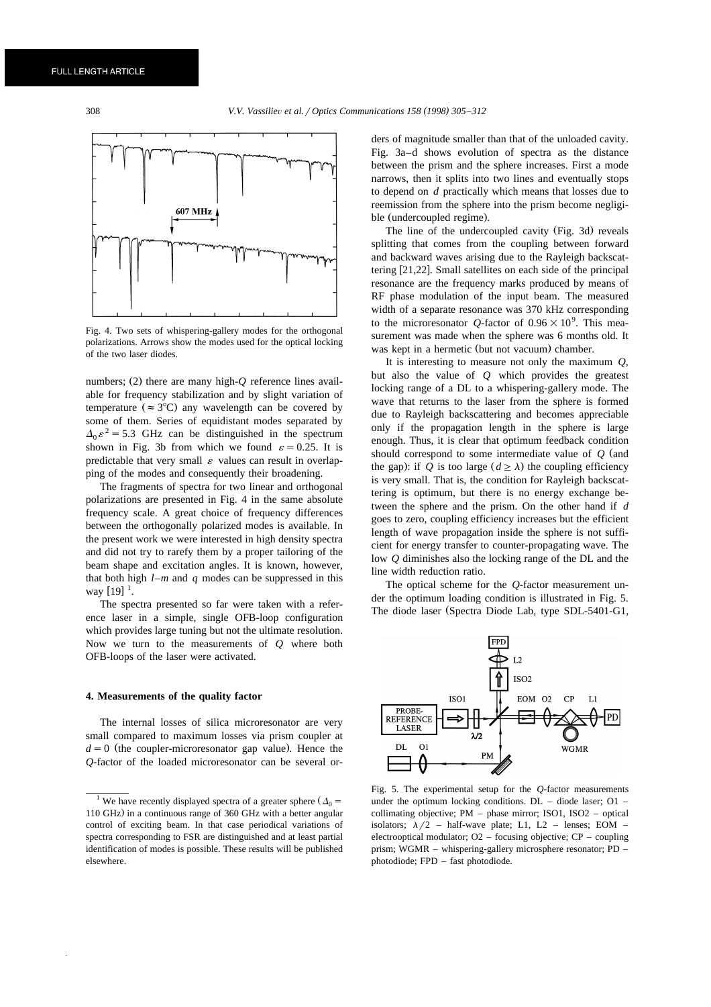

Fig. 4. Two sets of whispering-gallery modes for the orthogonal polarizations. Arrows show the modes used for the optical locking of the two laser diodes.

numbers; (2) there are many high- $Q$  reference lines available for frequency stabilization and by slight variation of temperature ( $\approx 3^{\circ}$ C) any wavelength can be covered by some of them. Series of equidistant modes separated by  $\Delta_0 \varepsilon^2 = 5.3$  GHz can be distinguished in the spectrum shown in Fig. 3b from which we found  $\varepsilon=0.25$ . It is predictable that very small  $\varepsilon$  values can result in overlapping of the modes and consequently their broadening.

The fragments of spectra for two linear and orthogonal polarizations are presented in Fig. 4 in the same absolute frequency scale. A great choice of frequency differences between the orthogonally polarized modes is available. In the present work we were interested in high density spectra and did not try to rarefy them by a proper tailoring of the beam shape and excitation angles. It is known, however, that both high *l*–*m* and *q* modes can be suppressed in this way  $[19]$ <sup>1</sup>.

The spectra presented so far were taken with a reference laser in a simple, single OFB-loop configuration which provides large tuning but not the ultimate resolution. Now we turn to the measurements of *Q* where both OFB-loops of the laser were activated.

#### **4. Measurements of the quality factor**

The internal losses of silica microresonator are very small compared to maximum losses via prism coupler at  $d=0$  (the coupler-microresonator gap value). Hence the *Q*-factor of the loaded microresonator can be several orders of magnitude smaller than that of the unloaded cavity. Fig. 3a–d shows evolution of spectra as the distance between the prism and the sphere increases. First a mode narrows, then it splits into two lines and eventually stops to depend on *d* practically which means that losses due to reemission from the sphere into the prism become negligible (undercoupled regime).

The line of the undercoupled cavity (Fig. 3d) reveals splitting that comes from the coupling between forward and backward waves arising due to the Rayleigh backscattering  $[21,22]$ . Small satellites on each side of the principal resonance are the frequency marks produced by means of RF phase modulation of the input beam. The measured width of a separate resonance was 370 kHz corresponding to the microresonator Q-factor of  $0.96 \times 10^9$ . This measurement was made when the sphere was 6 months old. It was kept in a hermetic (but not vacuum) chamber.

It is interesting to measure not only the maximum *Q*, but also the value of *Q* which provides the greatest locking range of a DL to a whispering-gallery mode. The wave that returns to the laser from the sphere is formed due to Rayleigh backscattering and becomes appreciable only if the propagation length in the sphere is large enough. Thus, it is clear that optimum feedback condition should correspond to some intermediate value of  $Q$  (and the gap): if Q is too large  $(d \ge \lambda)$  the coupling efficiency is very small. That is, the condition for Rayleigh backscattering is optimum, but there is no energy exchange between the sphere and the prism. On the other hand if *d* goes to zero, coupling efficiency increases but the efficient length of wave propagation inside the sphere is not sufficient for energy transfer to counter-propagating wave. The low *Q* diminishes also the locking range of the DL and the line width reduction ratio.

The optical scheme for the *Q*-factor measurement under the optimum loading condition is illustrated in Fig. 5. The diode laser (Spectra Diode Lab, type SDL-5401-G1,



Fig. 5. The experimental setup for the *Q*-factor measurements under the optimum locking conditions.  $DL -$  diode laser:  $O1$ collimating objective; PM – phase mirror; ISO1, ISO2 – optical isolators;  $\lambda/2$  – half-wave plate; L1, L2 – lenses; EOM – electrooptical modulator; O2 – focusing objective; CP – coupling prism; WGMR – whispering-gallery microsphere resonator; PD – photodiode; FPD – fast photodiode.

We have recently displayed spectra of a greater sphere  $(\Delta_0 =$ 110 GHz) in a continuous range of 360 GHz with a better angular control of exciting beam. In that case periodical variations of spectra corresponding to FSR are distinguished and at least partial identification of modes is possible. These results will be published elsewhere.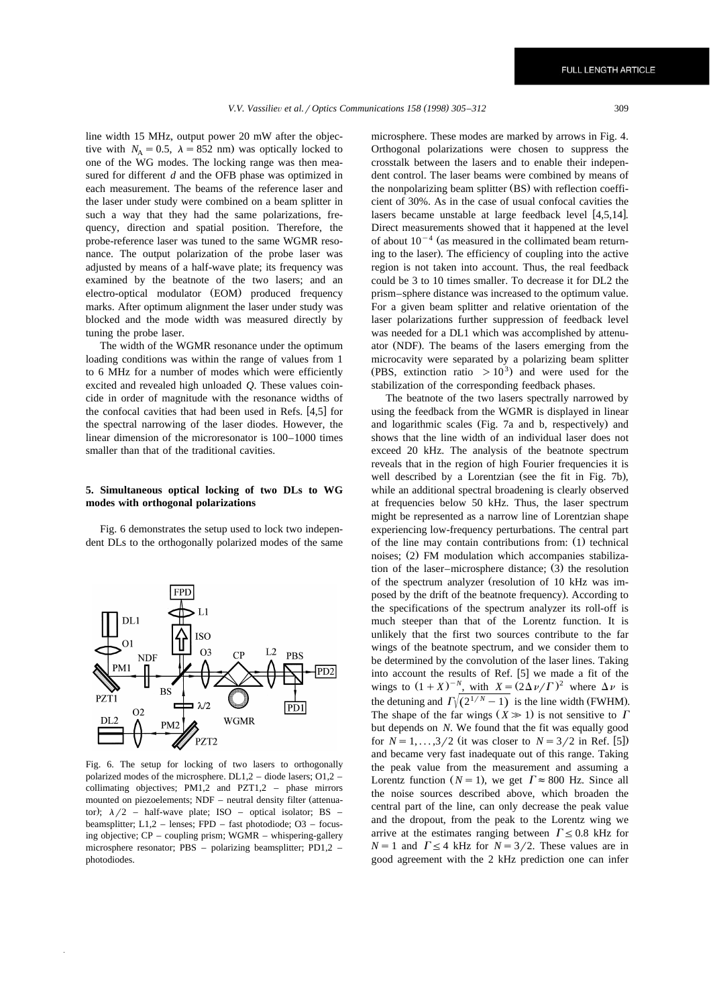line width 15 MHz, output power 20 mW after the objective with  $N_A = 0.5$ ,  $\lambda = 852$  nm) was optically locked to one of the WG modes. The locking range was then measured for different *d* and the OFB phase was optimized in each measurement. The beams of the reference laser and the laser under study were combined on a beam splitter in such a way that they had the same polarizations, frequency, direction and spatial position. Therefore, the probe-reference laser was tuned to the same WGMR resonance. The output polarization of the probe laser was adjusted by means of a half-wave plate; its frequency was examined by the beatnote of the two lasers; and an electro-optical modulator (EOM) produced frequency marks. After optimum alignment the laser under study was blocked and the mode width was measured directly by tuning the probe laser.

The width of the WGMR resonance under the optimum loading conditions was within the range of values from 1 to 6 MHz for a number of modes which were efficiently excited and revealed high unloaded *Q*. These values coincide in order of magnitude with the resonance widths of the confocal cavities that had been used in Refs.  $[4,5]$  for the spectral narrowing of the laser diodes. However, the linear dimension of the microresonator is 100–1000 times smaller than that of the traditional cavities.

# **5. Simultaneous optical locking of two DLs to WG modes with orthogonal polarizations**

Fig. 6 demonstrates the setup used to lock two independent DLs to the orthogonally polarized modes of the same



Fig. 6. The setup for locking of two lasers to orthogonally polarized modes of the microsphere. DL1,2 – diode lasers; O1,2 – collimating objectives; PM1,2 and PZT1,2 – phase mirrors mounted on piezoelements; NDF – neutral density filter (attenuator);  $\lambda/2$  – half-wave plate; ISO – optical isolator; BS – beamsplitter; L1,2 – lenses; FPD – fast photodiode; O3 – focusing objective; CP – coupling prism; WGMR – whispering-gallery microsphere resonator; PBS – polarizing beamsplitter; PD1,2 – photodiodes.

microsphere. These modes are marked by arrows in Fig. 4. Orthogonal polarizations were chosen to suppress the crosstalk between the lasers and to enable their independent control. The laser beams were combined by means of the nonpolarizing beam splitter (BS) with reflection coefficient of 30%. As in the case of usual confocal cavities the lasers became unstable at large feedback level  $[4,5,14]$ . Direct measurements showed that it happened at the level of about  $10^{-4}$  (as measured in the collimated beam returning to the laser). The efficiency of coupling into the active region is not taken into account. Thus, the real feedback could be 3 to 10 times smaller. To decrease it for DL2 the prism–sphere distance was increased to the optimum value. For a given beam splitter and relative orientation of the laser polarizations further suppression of feedback level was needed for a DL1 which was accomplished by attenuator (NDF). The beams of the lasers emerging from the microcavity were separated by a polarizing beam splitter (PBS, extinction ratio  $> 10<sup>3</sup>$ ) and were used for the stabilization of the corresponding feedback phases.

The beatnote of the two lasers spectrally narrowed by using the feedback from the WGMR is displayed in linear and logarithmic scales (Fig. 7a and b, respectively) and shows that the line width of an individual laser does not exceed 20 kHz. The analysis of the beatnote spectrum reveals that in the region of high Fourier frequencies it is well described by a Lorentzian (see the fit in Fig. 7b), while an additional spectral broadening is clearly observed at frequencies below 50 kHz. Thus, the laser spectrum might be represented as a narrow line of Lorentzian shape experiencing low-frequency perturbations. The central part of the line may contain contributions from: (1) technical noises; (2) FM modulation which accompanies stabilization of the laser–microsphere distance;  $(3)$  the resolution of the spectrum analyzer (resolution of 10 kHz was imposed by the drift of the beatnote frequency). According to the specifications of the spectrum analyzer its roll-off is much steeper than that of the Lorentz function. It is unlikely that the first two sources contribute to the far wings of the beatnote spectrum, and we consider them to be determined by the convolution of the laser lines. Taking into account the results of Ref.  $[5]$  we made a fit of the wings to  $(1+X)^{-N}$ , with  $X = (2\Delta \nu / \Gamma)^2$  where  $\Delta \nu$  is the detuning and  $\Gamma \sqrt{(2^{1/N}-1)}$  is the line width (FWHM). The shape of the far wings  $(X \gg 1)$  is not sensitive to  $\Gamma$ but depends on *N*. We found that the fit was equally good for  $N = 1, ..., 3/2$  (it was closer to  $N = 3/2$  in Ref. [5]) and became very fast inadequate out of this range. Taking the peak value from the measurement and assuming a Lorentz function  $(N = 1)$ , we get  $\Gamma \approx 800$  Hz. Since all the noise sources described above, which broaden the central part of the line, can only decrease the peak value and the dropout, from the peak to the Lorentz wing we arrive at the estimates ranging between  $\Gamma \leq 0.8$  kHz for  $N = 1$  and  $\Gamma \leq 4$  kHz for  $N = 3/2$ . These values are in good agreement with the 2 kHz prediction one can infer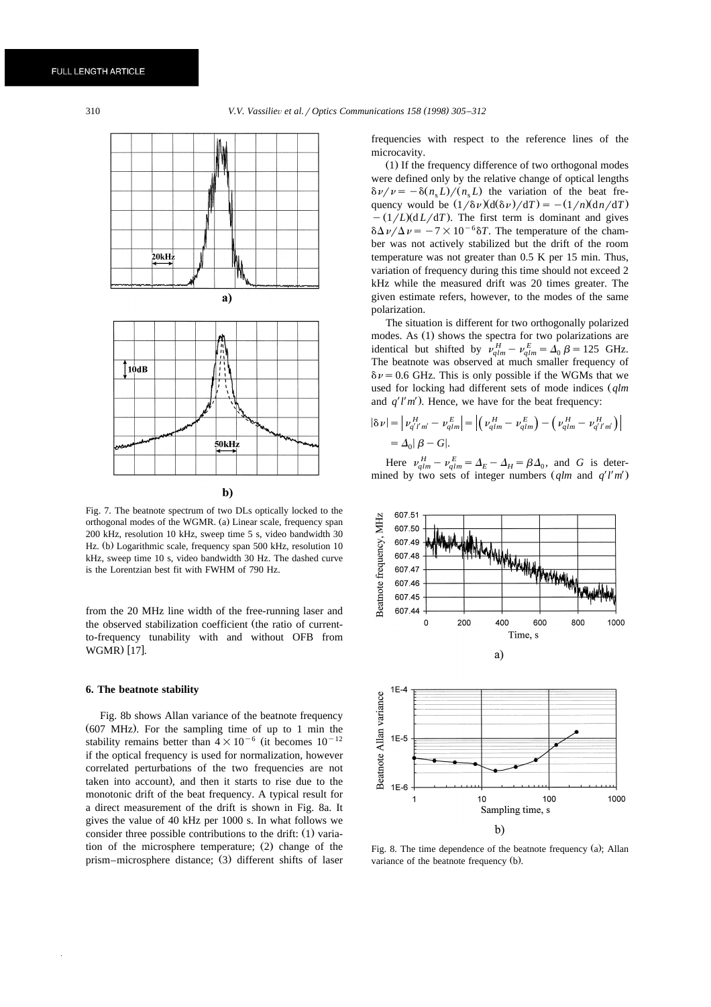

Fig. 7. The beatnote spectrum of two DLs optically locked to the orthogonal modes of the WGMR. (a) Linear scale, frequency span 200 kHz, resolution 10 kHz, sweep time 5 s, video bandwidth 30 Hz. (b) Logarithmic scale, frequency span 500 kHz, resolution 10 kHz, sweep time 10 s, video bandwidth 30 Hz. The dashed curve is the Lorentzian best fit with FWHM of 790 Hz.

from the 20 MHz line width of the free-running laser and the observed stabilization coefficient (the ratio of currentto-frequency tunability with and without OFB from WGMR) [17].

#### **6. The beatnote stability**

Fig. 8b shows Allan variance of the beatnote frequency (607 MHz). For the sampling time of up to 1 min the stability remains better than  $4\times 10^{-6}$  (it becomes  $10^{-12}$ ) if the optical frequency is used for normalization, however correlated perturbations of the two frequencies are not taken into account), and then it starts to rise due to the monotonic drift of the beat frequency. A typical result for a direct measurement of the drift is shown in Fig. 8a. It gives the value of 40 kHz per 1000 s. In what follows we consider three possible contributions to the drift:  $(1)$  variation of the microsphere temperature; (2) change of the prism–microsphere distance; (3) different shifts of laser frequencies with respect to the reference lines of the microcavity.

 $(1)$  If the frequency difference of two orthogonal modes were defined only by the relative change of optical lengths  $\delta \nu / \nu = -\delta(n_{\rm s} L)/(n_{\rm s} L)$  the variation of the beat frequency would be  $(1/\delta \nu)(d(\delta \nu)/dT) = -(1/n)(dn/dT)$  $-(1/L)(dL/dT)$ . The first term is dominant and gives  $\delta\Delta\nu/\Delta\nu = -7\times10^{-6} \delta T$ . The temperature of the chamber was not actively stabilized but the drift of the room temperature was not greater than 0.5 K per 15 min. Thus, variation of frequency during this time should not exceed 2 kHz while the measured drift was 20 times greater. The given estimate refers, however, to the modes of the same polarization.

The situation is different for two orthogonally polarized modes. As (1) shows the spectra for two polarizations are identical but shifted by  $v_{qlm}^H - v_{qlm}^E = \Delta_0 \beta = 125$  GHz. The beatnote was observed at much smaller frequency of  $\delta\nu$  = 0.6 GHz. This is only possible if the WGMs that we used for locking had different sets of mode indices  $(qlm \text{ and } q'l'm')$ . Hence, we have for the beat frequency:

$$
|\delta \nu| = \left| \nu_{q'l'm'}^{H} - \nu_{qlm}^{E} \right| = \left| \left( \nu_{qlm}^{H} - \nu_{qlm}^{E} \right) - \left( \nu_{qlm}^{H} - \nu_{q'l'm'}^{H} \right) \right|
$$
  
=  $\Delta_0 |\beta - G|$ .

Here  $v_{qlm}^H - v_{qlm}^E = \Delta_E - \Delta_H = \beta \Delta_0$ , and *G* is determined by two sets of integer numbers  $(q/m$  and  $q'l'm'$ .



Fig. 8. The time dependence of the beatnote frequency  $(a)$ ; Allan variance of the beatnote frequency (b).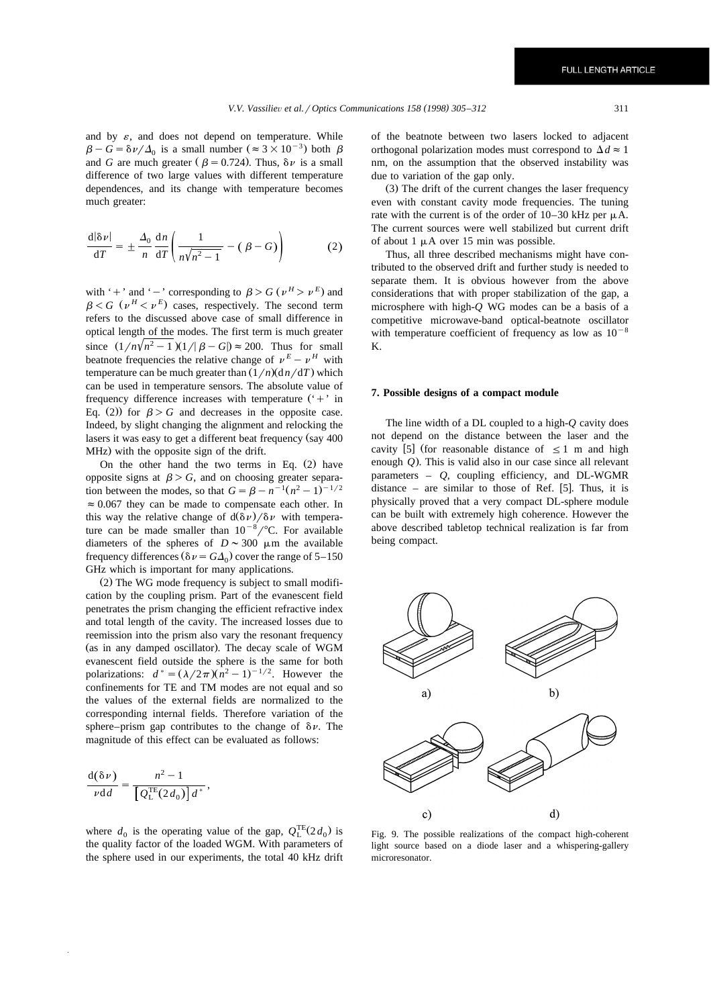and by  $\varepsilon$ , and does not depend on temperature. While  $\beta-G=\delta\nu/\Delta_0$  is a small number ( $\approx 3\times 10^{-3}$ ) both  $\beta$ and *G* are much greater ( $\beta = 0.724$ ). Thus,  $\delta \nu$  is a small difference of two large values with different temperature dependences, and its change with temperature becomes much greater:

$$
\frac{\mathrm{d}|\delta\nu|}{\mathrm{d}T} = \pm \frac{\Delta_0}{n} \frac{\mathrm{d}n}{\mathrm{d}T} \left( \frac{1}{n\sqrt{n^2 - 1}} - (\beta - G) \right) \tag{2}
$$

with '+' and '-' corresponding to  $\beta > G$  ( $\nu^H > \nu^E$ ) and  $\beta \leq G$  ( $\nu^H \leq \nu^E$ ) cases, respectively. The second term refers to the discussed above case of small difference in optical length of the modes. The first term is much greater since  $(1/n\sqrt{n^2-1})(1/\beta - G) \approx 200$ . Thus for small beatnote frequencies the relative change of  $v^E - v^H$  with temperature can be much greater than  $(1/n)(dn/dT)$  which can be used in temperature sensors. The absolute value of frequency difference increases with temperature  $(4)$  in Eq. (2)) for  $\beta > G$  and decreases in the opposite case. Indeed, by slight changing the alignment and relocking the lasers it was easy to get a different beat frequency (say 400  $MHz$ ) with the opposite sign of the drift.

On the other hand the two terms in Eq.  $(2)$  have opposite signs at  $\beta > G$ , and on choosing greater separation between the modes, so that  $G = \beta - n^{-1}(n^2 - 1)^{-1/2}$  $\approx 0.067$  they can be made to compensate each other. In this way the relative change of  $d(\delta \nu)/\delta \nu$  with temperature can be made smaller than  $10^{-8}/^{\circ}$ C. For available diameters of the spheres of  $D \sim 300 \mu m$  the available frequency differences ( $\delta \nu = G \Delta_0$ ) cover the range of 5–150 GHz which is important for many applications.

 $(2)$  The WG mode frequency is subject to small modification by the coupling prism. Part of the evanescent field penetrates the prism changing the efficient refractive index and total length of the cavity. The increased losses due to reemission into the prism also vary the resonant frequency (as in any damped oscillator). The decay scale of WGM evanescent field outside the sphere is the same for both polarizations:  $d^* = (\lambda/2\pi)(n^2 - 1)^{-1/2}$ . However the confinements for TE and TM modes are not equal and so the values of the external fields are normalized to the corresponding internal fields. Therefore variation of the sphere–prism gap contributes to the change of  $\delta \nu$ . The magnitude of this effect can be evaluated as follows:

$$
\frac{\mathrm{d}(\delta \nu)}{\nu \mathrm{d}d} = \frac{n^2 - 1}{\left[ Q^{\mathrm{TE}}_{\mathrm{L}}(2d_0) \right] d^*},
$$

where  $d_0$  is the operating value of the gap,  $Q_L^{TE}(2d_0)$  is the quality factor of the loaded WGM. With parameters of the sphere used in our experiments, the total 40 kHz drift of the beatnote between two lasers locked to adjacent orthogonal polarization modes must correspond to  $\Delta d \approx 1$ nm, on the assumption that the observed instability was due to variation of the gap only.

 $(3)$  The drift of the current changes the laser frequency even with constant cavity mode frequencies. The tuning rate with the current is of the order of  $10-30$  kHz per  $\mu$ A. The current sources were well stabilized but current drift of about 1  $\mu$ A over 15 min was possible.

Thus, all three described mechanisms might have contributed to the observed drift and further study is needed to separate them. It is obvious however from the above considerations that with proper stabilization of the gap, a microsphere with high-*Q* WG modes can be a basis of a competitive microwave-band optical-beatnote oscillator with temperature coefficient of frequency as low as  $10^{-8}$ K.

### **7. Possible designs of a compact module**

The line width of a DL coupled to a high-*Q* cavity does not depend on the distance between the laser and the cavity [5] (for reasonable distance of  $\leq 1$  m and high enough *Q*). This is valid also in our case since all relevant parameters  $Q$ , coupling efficiency, and DL-WGMR distance – are similar to those of Ref.  $[5]$ . Thus, it is physically proved that a very compact DL-sphere module can be built with extremely high coherence. However the above described tabletop technical realization is far from being compact.



Fig. 9. The possible realizations of the compact high-coherent light source based on a diode laser and a whispering-gallery microresonator.